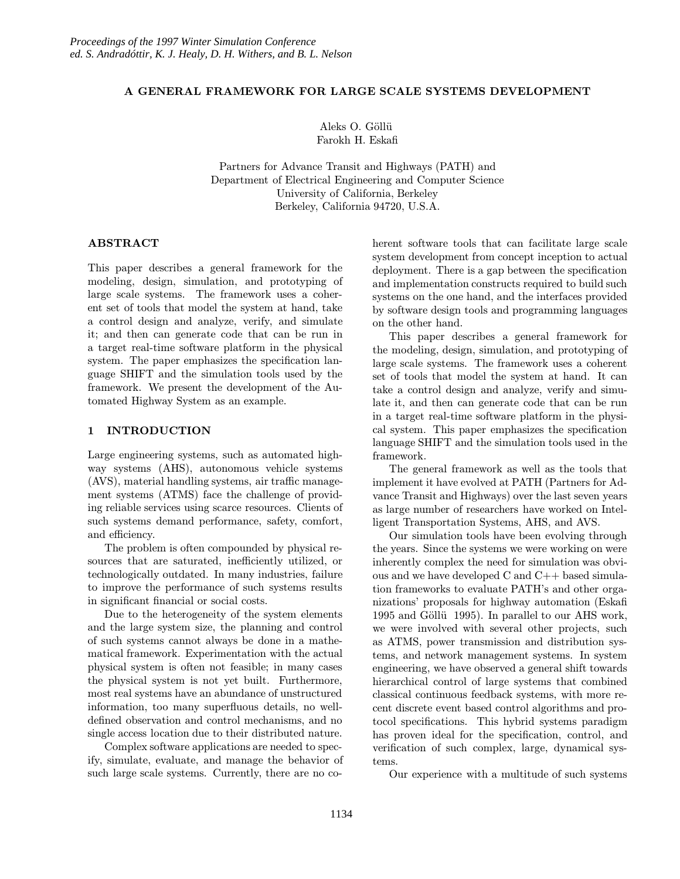## A GENERAL FRAMEWORK FOR LARGE SCALE SYSTEMS DEVELOPMENT

Aleks O. Göllü Farokh H. Eskafi

Partners for Advance Transit and Highways (PATH) and Department of Electrical Engineering and Computer Science University of California, Berkeley Berkeley, California 94720, U.S.A.

### ABSTRACT

This paper describes a general framework for the modeling, design, simulation, and prototyping of large scale systems. The framework uses a coherent set of tools that model the system at hand, take a control design and analyze, verify, and simulate it; and then can generate code that can be run in a target real-time software platform in the physical system. The paper emphasizes the specification language SHIFT and the simulation tools used by the framework. We present the development of the Automated Highway System as an example.

#### 1 INTRODUCTION

Large engineering systems, such as automated highway systems (AHS), autonomous vehicle systems (AVS), material handling systems, air traffic management systems (ATMS) face the challenge of providing reliable services using scarce resources. Clients of such systems demand performance, safety, comfort, and efficiency.

The problem is often compounded by physical resources that are saturated, inefficiently utilized, or technologically outdated. In many industries, failure to improve the performance of such systems results in significant financial or social costs.

Due to the heterogeneity of the system elements and the large system size, the planning and control of such systems cannot always be done in a mathematical framework. Experimentation with the actual physical system is often not feasible; in many cases the physical system is not yet built. Furthermore, most real systems have an abundance of unstructured information, too many superfluous details, no welldefined observation and control mechanisms, and no single access location due to their distributed nature.

Complex software applications are needed to specify, simulate, evaluate, and manage the behavior of such large scale systems. Currently, there are no coherent software tools that can facilitate large scale system development from concept inception to actual deployment. There is a gap between the specification and implementation constructs required to build such systems on the one hand, and the interfaces provided by software design tools and programming languages on the other hand.

This paper describes a general framework for the modeling, design, simulation, and prototyping of large scale systems. The framework uses a coherent set of tools that model the system at hand. It can take a control design and analyze, verify and simulate it, and then can generate code that can be run in a target real-time software platform in the physical system. This paper emphasizes the specification language SHIFT and the simulation tools used in the framework.

The general framework as well as the tools that implement it have evolved at PATH (Partners for Advance Transit and Highways) over the last seven years as large number of researchers have worked on Intelligent Transportation Systems, AHS, and AVS.

Our simulation tools have been evolving through the years. Since the systems we were working on were inherently complex the need for simulation was obvious and we have developed C and C++ based simulation frameworks to evaluate PATH's and other organizations' proposals for highway automation (Eskafi 1995 and Göllü 1995). In parallel to our AHS work, we were involved with several other projects, such as ATMS, power transmission and distribution systems, and network management systems. In system engineering, we have observed a general shift towards hierarchical control of large systems that combined classical continuous feedback systems, with more recent discrete event based control algorithms and protocol specifications. This hybrid systems paradigm has proven ideal for the specification, control, and verification of such complex, large, dynamical systems.

Our experience with a multitude of such systems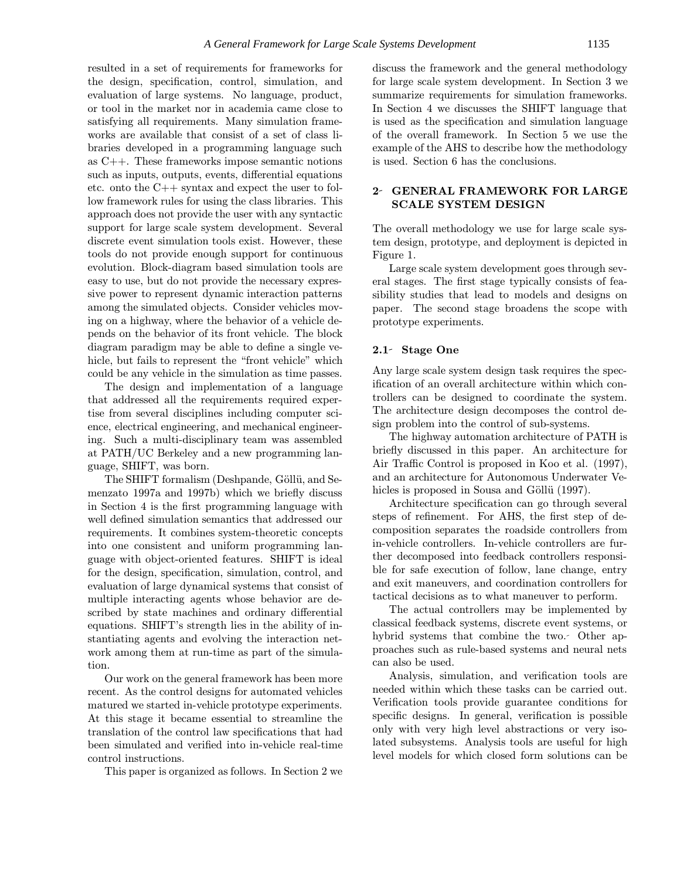resulted in a set of requirements for frameworks for the design, specification, control, simulation, and evaluation of large systems. No language, product, or tool in the market nor in academia came close to satisfying all requirements. Many simulation frameworks are available that consist of a set of class libraries developed in a programming language such as C++. These frameworks impose semantic notions such as inputs, outputs, events, differential equations etc. onto the C++ syntax and expect the user to follow framework rules for using the class libraries. This approach does not provide the user with any syntactic support for large scale system development. Several discrete event simulation tools exist. However, these tools do not provide enough support for continuous evolution. Block-diagram based simulation tools are easy to use, but do not provide the necessary expressive power to represent dynamic interaction patterns among the simulated objects. Consider vehicles moving on a highway, where the behavior of a vehicle depends on the behavior of its front vehicle. The block diagram paradigm may be able to define a single vehicle, but fails to represent the "front vehicle" which could be any vehicle in the simulation as time passes.

The design and implementation of a language that addressed all the requirements required expertise from several disciplines including computer science, electrical engineering, and mechanical engineering. Such a multi-disciplinary team was assembled at PATH/UC Berkeley and a new programming language, SHIFT, was born.

The SHIFT formalism (Deshpande, Göllü, and Semenzato 1997a and 1997b) which we briefly discuss in Section 4 is the first programming language with well defined simulation semantics that addressed our requirements. It combines system-theoretic concepts into one consistent and uniform programming language with object-oriented features. SHIFT is ideal for the design, specification, simulation, control, and evaluation of large dynamical systems that consist of multiple interacting agents whose behavior are described by state machines and ordinary differential equations. SHIFT's strength lies in the ability of instantiating agents and evolving the interaction network among them at run-time as part of the simulation.

Our work on the general framework has been more recent. As the control designs for automated vehicles matured we started in-vehicle prototype experiments. At this stage it became essential to streamline the translation of the control law specifications that had been simulated and verified into in-vehicle real-time control instructions.

This paper is organized as follows. In Section 2 we

discuss the framework and the general methodology for large scale system development. In Section 3 we summarize requirements for simulation frameworks. In Section 4 we discusses the SHIFT language that is used as the specification and simulation language of the overall framework. In Section 5 we use the example of the AHS to describe how the methodology is used. Section 6 has the conclusions.

## 2- GENERAL FRAMEWORK FOR LARGE SCALE SYSTEM DESIGN

The overall methodology we use for large scale system design, prototype, and deployment is depicted in Figure 1.

Large scale system development goes through several stages. The first stage typically consists of feasibility studies that lead to models and designs on paper. The second stage broadens the scope with prototype experiments.

#### 2.1 Stage One

Any large scale system design task requires the specification of an overall architecture within which controllers can be designed to coordinate the system. The architecture design decomposes the control design problem into the control of sub-systems.

The highway automation architecture of PATH is briefly discussed in this paper. An architecture for Air Traffic Control is proposed in Koo et al. (1997), and an architecture for Autonomous Underwater Vehicles is proposed in Sousa and Göllü (1997).

Architecture specification can go through several steps of refinement. For AHS, the first step of decomposition separates the roadside controllers from in-vehicle controllers. In-vehicle controllers are further decomposed into feedback controllers responsible for safe execution of follow, lane change, entry and exit maneuvers, and coordination controllers for tactical decisions as to what maneuver to perform.

The actual controllers may be implemented by classical feedback systems, discrete event systems, or hybrid systems that combine the two. Other approaches such as rule-based systems and neural nets can also be used.

Analysis, simulation, and verification tools are needed within which these tasks can be carried out. Verification tools provide guarantee conditions for specific designs. In general, verification is possible only with very high level abstractions or very isolated subsystems. Analysis tools are useful for high level models for which closed form solutions can be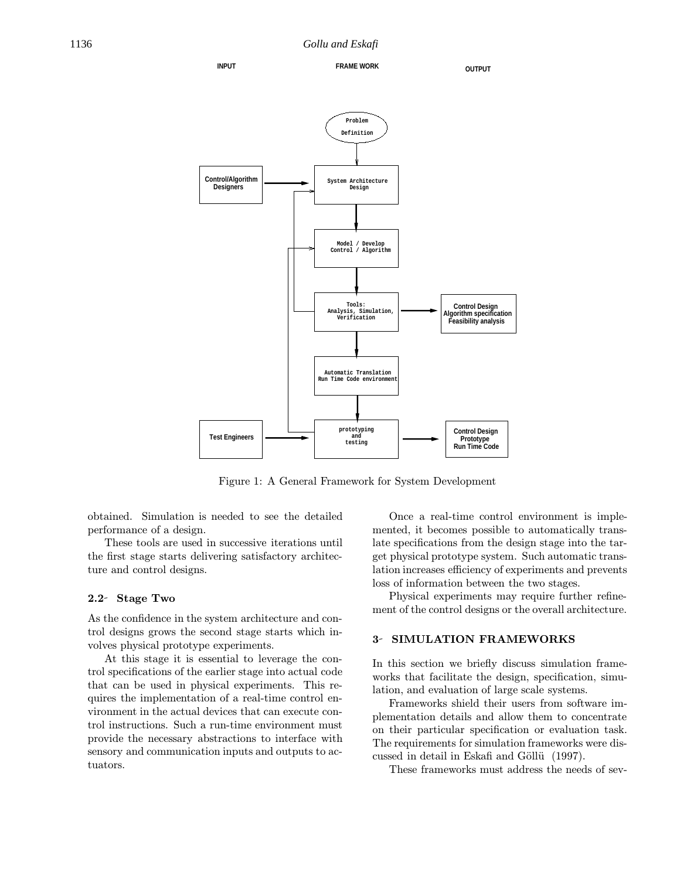

Figure 1: A General Framework for System Development

obtained. Simulation is needed to see the detailed performance of a design.

These tools are used in successive iterations until the first stage starts delivering satisfactory architecture and control designs.

## 2.2 Stage Two

As the confidence in the system architecture and control designs grows the second stage starts which involves physical prototype experiments.

At this stage it is essential to leverage the control specifications of the earlier stage into actual code that can be used in physical experiments. This requires the implementation of a real-time control environment in the actual devices that can execute control instructions. Such a run-time environment must provide the necessary abstractions to interface with sensory and communication inputs and outputs to actuators.

Once a real-time control environment is implemented, it becomes possible to automatically translate specifications from the design stage into the target physical prototype system. Such automatic translation increases efficiency of experiments and prevents loss of information between the two stages.

Physical experiments may require further refinement of the control designs or the overall architecture.

### 3- SIMULATION FRAMEWORKS

In this section we briefly discuss simulation frameworks that facilitate the design, specification, simulation, and evaluation of large scale systems.

Frameworks shield their users from software implementation details and allow them to concentrate on their particular specification or evaluation task. The requirements for simulation frameworks were discussed in detail in Eskafi and Göllü (1997).

These frameworks must address the needs of sev-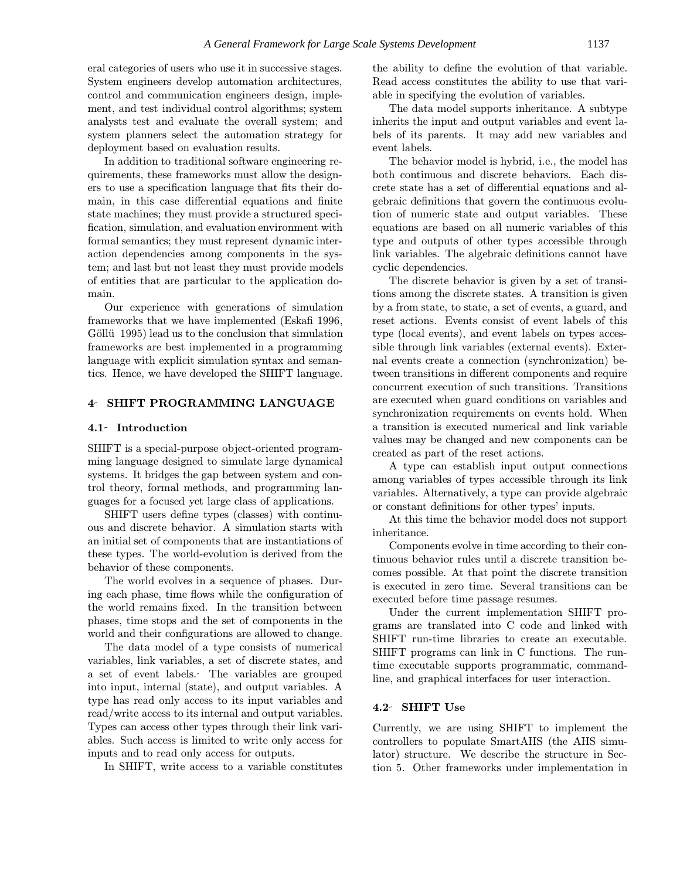eral categories of users who use it in successive stages. System engineers develop automation architectures, control and communication engineers design, implement, and test individual control algorithms; system analysts test and evaluate the overall system; and system planners select the automation strategy for deployment based on evaluation results.

In addition to traditional software engineering requirements, these frameworks must allow the designers to use a specification language that fits their domain, in this case differential equations and finite state machines; they must provide a structured specification, simulation, and evaluation environment with formal semantics; they must represent dynamic interaction dependencies among components in the system; and last but not least they must provide models of entities that are particular to the application domain.

Our experience with generations of simulation frameworks that we have implemented (Eskafi 1996, Göllü 1995) lead us to the conclusion that simulation frameworks are best implemented in a programming language with explicit simulation syntax and semantics. Hence, we have developed the SHIFT language.

#### 4 SHIFT PROGRAMMING LANGUAGE

#### 4.1 Introduction

SHIFT is a special-purpose object-oriented programming language designed to simulate large dynamical systems. It bridges the gap between system and control theory, formal methods, and programming languages for a focused yet large class of applications.

SHIFT users define types (classes) with continuous and discrete behavior. A simulation starts with an initial set of components that are instantiations of these types. The world-evolution is derived from the behavior of these components.

The world evolves in a sequence of phases. During each phase, time flows while the configuration of the world remains fixed. In the transition between phases, time stops and the set of components in the world and their configurations are allowed to change.

The data model of a type consists of numerical variables, link variables, a set of discrete states, and a set of event labels. The variables are grouped into input, internal (state), and output variables. A type has read only access to its input variables and read/write access to its internal and output variables. Types can access other types through their link variables. Such access is limited to write only access for inputs and to read only access for outputs.

In SHIFT, write access to a variable constitutes

the ability to define the evolution of that variable. Read access constitutes the ability to use that variable in specifying the evolution of variables.

The data model supports inheritance. A subtype inherits the input and output variables and event labels of its parents. It may add new variables and event labels.

The behavior model is hybrid, i.e., the model has both continuous and discrete behaviors. Each discrete state has a set of differential equations and algebraic definitions that govern the continuous evolution of numeric state and output variables. These equations are based on all numeric variables of this type and outputs of other types accessible through link variables. The algebraic definitions cannot have cyclic dependencies.

The discrete behavior is given by a set of transitions among the discrete states. A transition is given by a from state, to state, a set of events, a guard, and reset actions. Events consist of event labels of this type (local events), and event labels on types accessible through link variables (external events). External events create a connection (synchronization) between transitions in different components and require concurrent execution of such transitions. Transitions are executed when guard conditions on variables and synchronization requirements on events hold. When a transition is executed numerical and link variable values may be changed and new components can be created as part of the reset actions.

A type can establish input output connections among variables of types accessible through its link variables. Alternatively, a type can provide algebraic or constant definitions for other types' inputs.

At this time the behavior model does not support inheritance.

Components evolve in time according to their continuous behavior rules until a discrete transition becomes possible. At that point the discrete transition is executed in zero time. Several transitions can be executed before time passage resumes.

Under the current implementation SHIFT programs are translated into C code and linked with SHIFT run-time libraries to create an executable. SHIFT programs can link in C functions. The runtime executable supports programmatic, commandline, and graphical interfaces for user interaction.

#### 4.2 SHIFT Use

Currently, we are using SHIFT to implement the controllers to populate SmartAHS (the AHS simulator) structure. We describe the structure in Section 5. Other frameworks under implementation in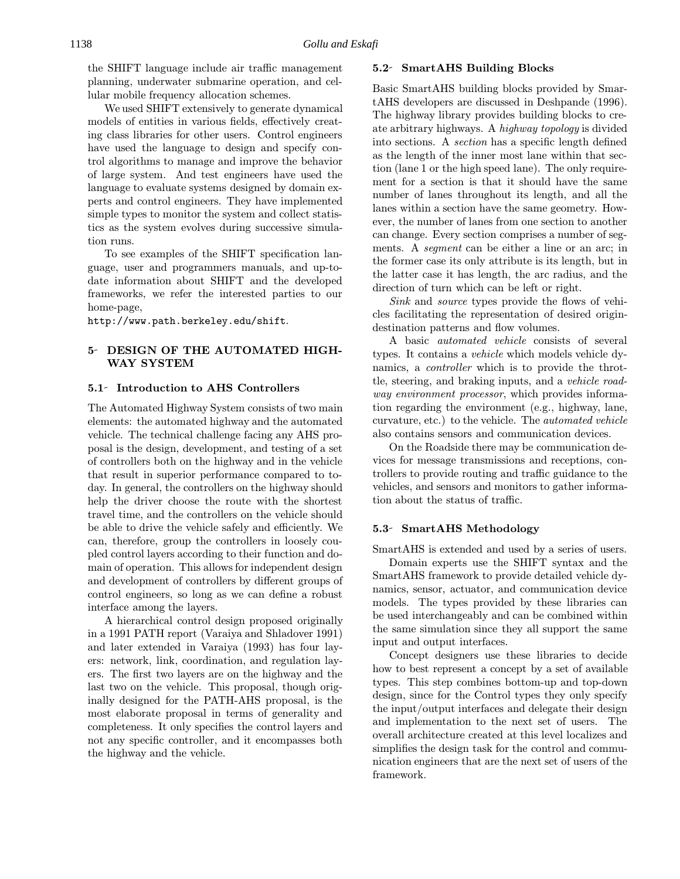the SHIFT language include air traffic management planning, underwater submarine operation, and cellular mobile frequency allocation schemes.

We used SHIFT extensively to generate dynamical models of entities in various fields, effectively creating class libraries for other users. Control engineers have used the language to design and specify control algorithms to manage and improve the behavior of large system. And test engineers have used the language to evaluate systems designed by domain experts and control engineers. They have implemented simple types to monitor the system and collect statistics as the system evolves during successive simulation runs.

To see examples of the SHIFT specification language, user and programmers manuals, and up-todate information about SHIFT and the developed frameworks, we refer the interested parties to our home-page,

http://www.path.berkeley.edu/shift.

## 5- DESIGN OF THE AUTOMATED HIGH-WAY SYSTEM

#### 5.1 Introduction to AHS Controllers

The Automated Highway System consists of two main elements: the automated highway and the automated vehicle. The technical challenge facing any AHS proposal is the design, development, and testing of a set of controllers both on the highway and in the vehicle that result in superior performance compared to today. In general, the controllers on the highway should help the driver choose the route with the shortest travel time, and the controllers on the vehicle should be able to drive the vehicle safely and efficiently. We can, therefore, group the controllers in loosely coupled control layers according to their function and domain of operation. This allowsfor independent design and development of controllers by different groups of control engineers, so long as we can define a robust interface among the layers.

A hierarchical control design proposed originally in a 1991 PATH report (Varaiya and Shladover 1991) and later extended in Varaiya (1993) has four layers: network, link, coordination, and regulation layers. The first two layers are on the highway and the last two on the vehicle. This proposal, though originally designed for the PATH-AHS proposal, is the most elaborate proposal in terms of generality and completeness. It only specifies the control layers and not any specific controller, and it encompasses both the highway and the vehicle.

#### 5.2 SmartAHS Building Blocks

Basic SmartAHS building blocks provided by SmartAHS developers are discussed in Deshpande (1996). The highway library provides building blocks to create arbitrary highways. A highway topology is divided into sections. A section has a specific length defined as the length of the inner most lane within that section (lane 1 or the high speed lane). The only requirement for a section is that it should have the same number of lanes throughout its length, and all the lanes within a section have the same geometry. However, the number of lanes from one section to another can change. Every section comprises a number of segments. A segment can be either a line or an arc; in the former case its only attribute is its length, but in the latter case it has length, the arc radius, and the direction of turn which can be left or right.

Sink and source types provide the flows of vehicles facilitating the representation of desired origindestination patterns and flow volumes.

A basic automated vehicle consists of several types. It contains a vehicle which models vehicle dynamics, a controller which is to provide the throttle, steering, and braking inputs, and a vehicle roadway environment processor, which provides information regarding the environment (e.g., highway, lane, curvature, etc.) to the vehicle. The automated vehicle also contains sensors and communication devices.

On the Roadside there may be communication devices for message transmissions and receptions, controllers to provide routing and traffic guidance to the vehicles, and sensors and monitors to gather information about the status of traffic.

#### 5.3- SmartAHS Methodology

SmartAHS is extended and used by a series of users.

Domain experts use the SHIFT syntax and the SmartAHS framework to provide detailed vehicle dynamics, sensor, actuator, and communication device models. The types provided by these libraries can be used interchangeably and can be combined within the same simulation since they all support the same input and output interfaces.

Concept designers use these libraries to decide how to best represent a concept by a set of available types. This step combines bottom-up and top-down design, since for the Control types they only specify the input/output interfaces and delegate their design and implementation to the next set of users. The overall architecture created at this level localizes and simplifies the design task for the control and communication engineers that are the next set of users of the framework.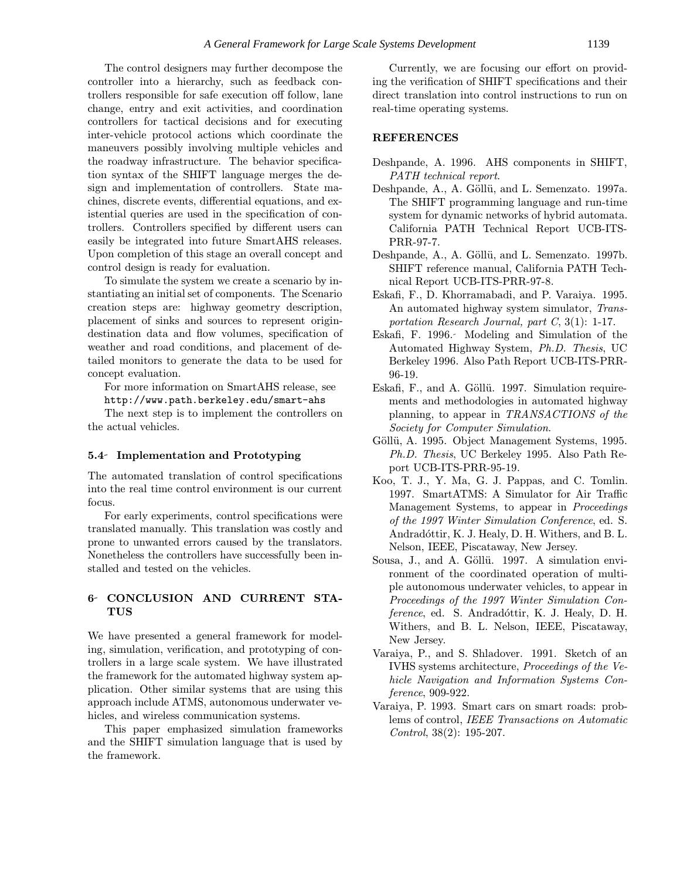The control designers may further decompose the controller into a hierarchy, such as feedback controllers responsible for safe execution off follow, lane change, entry and exit activities, and coordination controllers for tactical decisions and for executing inter-vehicle protocol actions which coordinate the maneuvers possibly involving multiple vehicles and the roadway infrastructure. The behavior specification syntax of the SHIFT language merges the design and implementation of controllers. State machines, discrete events, differential equations, and existential queries are used in the specification of controllers. Controllers specified by different users can easily be integrated into future SmartAHS releases. Upon completion of this stage an overall concept and control design is ready for evaluation.

To simulate the system we create a scenario by instantiating an initial set of components. The Scenario creation steps are: highway geometry description, placement of sinks and sources to represent origindestination data and flow volumes, specification of weather and road conditions, and placement of detailed monitors to generate the data to be used for concept evaluation.

For more information on SmartAHS release, see http://www.path.berkeley.edu/smart-ahs

The next step is to implement the controllers on the actual vehicles.

#### 5.4 Implementation and Prototyping

The automated translation of control specifications into the real time control environment is our current focus.

For early experiments, control specifications were translated manually. This translation was costly and prone to unwanted errors caused by the translators. Nonetheless the controllers have successfully been installed and tested on the vehicles.

### 6 CONCLUSION AND CURRENT STA-TUS

We have presented a general framework for modeling, simulation, verification, and prototyping of controllers in a large scale system. We have illustrated the framework for the automated highway system application. Other similar systems that are using this approach include ATMS, autonomous underwater vehicles, and wireless communication systems.

This paper emphasized simulation frameworks and the SHIFT simulation language that is used by the framework.

Currently, we are focusing our effort on providing the verification of SHIFT specifications and their direct translation into control instructions to run on real-time operating systems.

### REFERENCES

- Deshpande, A. 1996. AHS components in SHIFT, PATH technical report.
- Deshpande, A., A. Göllü, and L. Semenzato. 1997a. The SHIFT programming language and run-time system for dynamic networks of hybrid automata. California PATH Technical Report UCB-ITS-PRR-97-7.
- Deshpande, A., A. Göllü, and L. Semenzato. 1997b. SHIFT reference manual, California PATH Technical Report UCB-ITS-PRR-97-8.
- Eskafi, F., D. Khorramabadi, and P. Varaiya. 1995. An automated highway system simulator, Transportation Research Journal, part C, 3(1): 1-17.
- Eskafi, F. 1996. Modeling and Simulation of the Automated Highway System, Ph.D. Thesis, UC Berkeley 1996. Also Path Report UCB-ITS-PRR-96-19.
- Eskafi, F., and A. Göllü. 1997. Simulation requirements and methodologies in automated highway planning, to appear in TRANSACTIONS of the Society for Computer Simulation.
- Göllü, A. 1995. Object Management Systems, 1995. Ph.D. Thesis, UC Berkeley 1995. Also Path Report UCB-ITS-PRR-95-19.
- Koo, T. J., Y. Ma, G. J. Pappas, and C. Tomlin. 1997. SmartATMS: A Simulator for Air Traffic Management Systems, to appear in Proceedings of the 1997 Winter Simulation Conference, ed. S. Andradóttir, K. J. Healy, D. H. Withers, and B. L. Nelson, IEEE, Piscataway, New Jersey.
- Sousa, J., and A. Göllü. 1997. A simulation environment of the coordinated operation of multiple autonomous underwater vehicles, to appear in Proceedings of the 1997 Winter Simulation Conference, ed. S. Andradóttir, K. J. Healy, D. H. Withers, and B. L. Nelson, IEEE, Piscataway, New Jersey.
- Varaiya, P., and S. Shladover. 1991. Sketch of an IVHS systems architecture, Proceedings of the Vehicle Navigation and Information Systems Conference, 909-922.
- Varaiya, P. 1993. Smart cars on smart roads: problems of control, IEEE Transactions on Automatic Control, 38(2): 195-207.